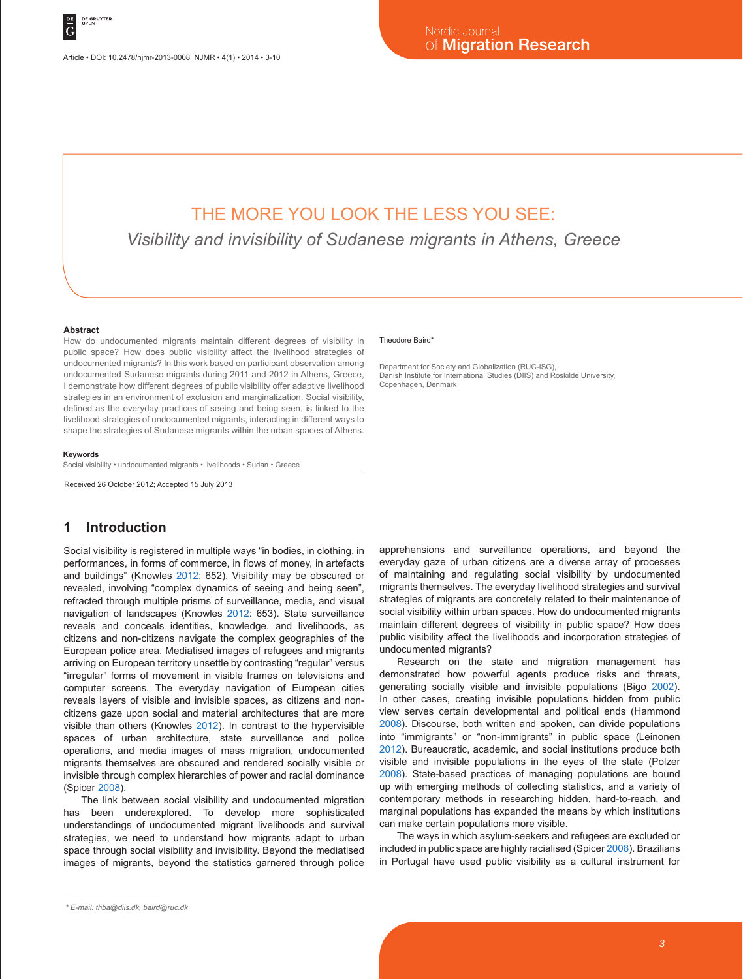# THE MORE YOU LOOK THE LESS YOU SEE:

*Visibility and invisibility of Sudanese migrants in Athens, Greece*

#### **Abstract**

How do undocumented migrants maintain different degrees of visibility in public space? How does public visibility affect the livelihood strategies of undocumented migrants? In this work based on participant observation among undocumented Sudanese migrants during 2011 and 2012 in Athens, Greece, I demonstrate how different degrees of public visibility offer adaptive livelihood strategies in an environment of exclusion and marginalization. Social visibility, defined as the everyday practices of seeing and being seen, is linked to the livelihood strategies of undocumented migrants, interacting in different ways to shape the strategies of Sudanese migrants within the urban spaces of Athens.

#### **Keywords**

Social visibility • undocumented migrants • livelihoods • Sudan • Greece

Received 26 October 2012; Accepted 15 July 2013

### **1 Introduction**

Social visibility is registered in multiple ways "in bodies, in clothing, in performances, in forms of commerce, in flows of money, in artefacts and buildings" (Knowles 2012: 652). Visibility may be obscured or revealed, involving "complex dynamics of seeing and being seen", refracted through multiple prisms of surveillance, media, and visual navigation of landscapes (Knowles 2012: 653). State surveillance reveals and conceals identities, knowledge, and livelihoods, as citizens and non-citizens navigate the complex geographies of the European police area. Mediatised images of refugees and migrants arriving on European territory unsettle by contrasting "regular" versus "irregular" forms of movement in visible frames on televisions and computer screens. The everyday navigation of European cities reveals layers of visible and invisible spaces, as citizens and noncitizens gaze upon social and material architectures that are more visible than others (Knowles 2012). In contrast to the hypervisible spaces of urban architecture, state surveillance and police operations, and media images of mass migration, undocumented migrants themselves are obscured and rendered socially visible or invisible through complex hierarchies of power and racial dominance (Spicer 2008).

The link between social visibility and undocumented migration has been underexplored. To develop more sophisticated understandings of undocumented migrant livelihoods and survival strategies, we need to understand how migrants adapt to urban space through social visibility and invisibility. Beyond the mediatised images of migrants, beyond the statistics garnered through police

#### Theodore Baird\*

Department for Society and Globalization (RUC-ISG), Danish Institute for International Studies (DIIS) and Roskilde University, Copenhagen, Denmark

apprehensions and surveillance operations, and beyond the everyday gaze of urban citizens are a diverse array of processes of maintaining and regulating social visibility by undocumented migrants themselves. The everyday livelihood strategies and survival strategies of migrants are concretely related to their maintenance of social visibility within urban spaces. How do undocumented migrants maintain different degrees of visibility in public space? How does public visibility affect the livelihoods and incorporation strategies of undocumented migrants?

Research on the state and migration management has demonstrated how powerful agents produce risks and threats, generating socially visible and invisible populations (Bigo 2002). In other cases, creating invisible populations hidden from public view serves certain developmental and political ends (Hammond 2008). Discourse, both written and spoken, can divide populations into "immigrants" or "non-immigrants" in public space (Leinonen 2012). Bureaucratic, academic, and social institutions produce both visible and invisible populations in the eyes of the state (Polzer 2008). State-based practices of managing populations are bound up with emerging methods of collecting statistics, and a variety of contemporary methods in researching hidden, hard-to-reach, and marginal populations has expanded the means by which institutions can make certain populations more visible.

The ways in which asylum-seekers and refugees are excluded or included in public space are highly racialised (Spicer 2008). Brazilians in Portugal have used public visibility as a cultural instrument for

*<sup>\*</sup> E-mail: thba@diis.dk, baird@ruc.dk*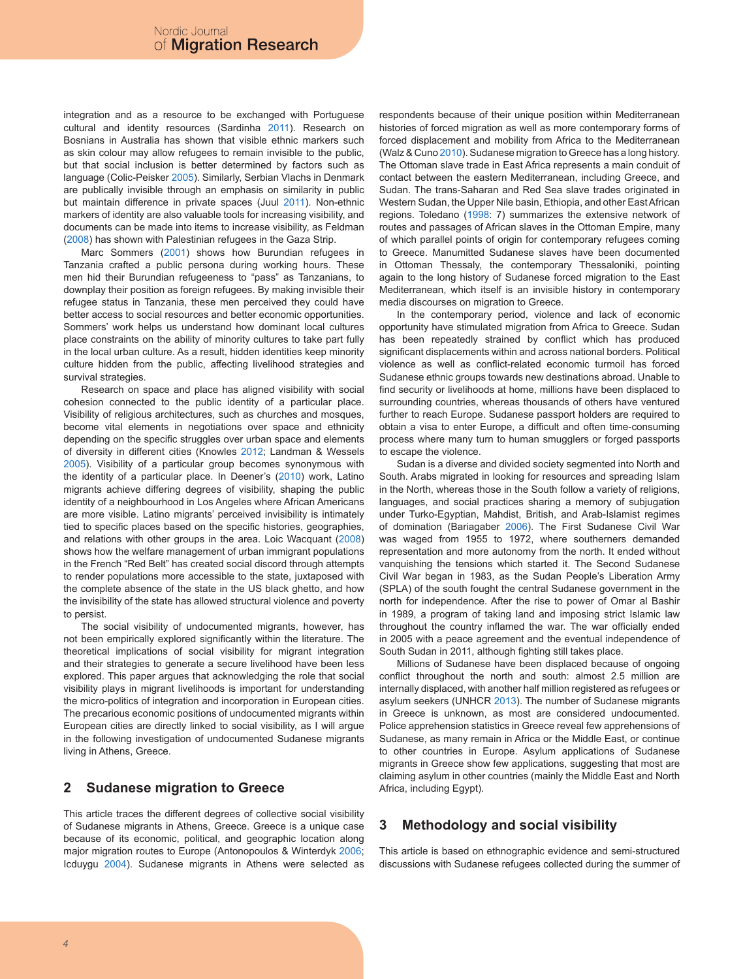integration and as a resource to be exchanged with Portuguese cultural and identity resources (Sardinha 2011). Research on Bosnians in Australia has shown that visible ethnic markers such as skin colour may allow refugees to remain invisible to the public, but that social inclusion is better determined by factors such as language (Colic-Peisker 2005). Similarly, Serbian Vlachs in Denmark are publically invisible through an emphasis on similarity in public but maintain difference in private spaces (Juul 2011). Non-ethnic markers of identity are also valuable tools for increasing visibility, and documents can be made into items to increase visibility, as Feldman (2008) has shown with Palestinian refugees in the Gaza Strip.

Marc Sommers (2001) shows how Burundian refugees in Tanzania crafted a public persona during working hours. These men hid their Burundian refugeeness to "pass" as Tanzanians, to downplay their position as foreign refugees. By making invisible their refugee status in Tanzania, these men perceived they could have better access to social resources and better economic opportunities. Sommers' work helps us understand how dominant local cultures place constraints on the ability of minority cultures to take part fully in the local urban culture. As a result, hidden identities keep minority culture hidden from the public, affecting livelihood strategies and survival strategies.

Research on space and place has aligned visibility with social cohesion connected to the public identity of a particular place. Visibility of religious architectures, such as churches and mosques, become vital elements in negotiations over space and ethnicity depending on the specific struggles over urban space and elements of diversity in different cities (Knowles 2012; Landman & Wessels 2005). Visibility of a particular group becomes synonymous with the identity of a particular place. In Deener's (2010) work, Latino migrants achieve differing degrees of visibility, shaping the public identity of a neighbourhood in Los Angeles where African Americans are more visible. Latino migrants' perceived invisibility is intimately tied to specific places based on the specific histories, geographies, and relations with other groups in the area. Loic Wacquant (2008) shows how the welfare management of urban immigrant populations in the French "Red Belt" has created social discord through attempts to render populations more accessible to the state, juxtaposed with the complete absence of the state in the US black ghetto, and how the invisibility of the state has allowed structural violence and poverty to persist.

The social visibility of undocumented migrants, however, has not been empirically explored significantly within the literature. The theoretical implications of social visibility for migrant integration and their strategies to generate a secure livelihood have been less explored. This paper argues that acknowledging the role that social visibility plays in migrant livelihoods is important for understanding the micro-politics of integration and incorporation in European cities. The precarious economic positions of undocumented migrants within European cities are directly linked to social visibility, as I will argue in the following investigation of undocumented Sudanese migrants living in Athens, Greece.

## **2 Sudanese migration to Greece**

This article traces the different degrees of collective social visibility of Sudanese migrants in Athens, Greece. Greece is a unique case because of its economic, political, and geographic location along major migration routes to Europe (Antonopoulos & Winterdyk 2006; Icduygu 2004). Sudanese migrants in Athens were selected as respondents because of their unique position within Mediterranean histories of forced migration as well as more contemporary forms of forced displacement and mobility from Africa to the Mediterranean (Walz & Cuno 2010). Sudanese migration to Greece has a long history. The Ottoman slave trade in East Africa represents a main conduit of contact between the eastern Mediterranean, including Greece, and Sudan. The trans-Saharan and Red Sea slave trades originated in Western Sudan, the Upper Nile basin, Ethiopia, and other East African regions. Toledano (1998: 7) summarizes the extensive network of routes and passages of African slaves in the Ottoman Empire, many of which parallel points of origin for contemporary refugees coming to Greece. Manumitted Sudanese slaves have been documented in Ottoman Thessaly, the contemporary Thessaloniki, pointing again to the long history of Sudanese forced migration to the East Mediterranean, which itself is an invisible history in contemporary media discourses on migration to Greece.

In the contemporary period, violence and lack of economic opportunity have stimulated migration from Africa to Greece. Sudan has been repeatedly strained by conflict which has produced significant displacements within and across national borders. Political violence as well as conflict-related economic turmoil has forced Sudanese ethnic groups towards new destinations abroad. Unable to find security or livelihoods at home, millions have been displaced to surrounding countries, whereas thousands of others have ventured further to reach Europe. Sudanese passport holders are required to obtain a visa to enter Europe, a difficult and often time-consuming process where many turn to human smugglers or forged passports to escape the violence.

Sudan is a diverse and divided society segmented into North and South. Arabs migrated in looking for resources and spreading Islam in the North, whereas those in the South follow a variety of religions, languages, and social practices sharing a memory of subjugation under Turko-Egyptian, Mahdist, British, and Arab-Islamist regimes of domination (Bariagaber 2006). The First Sudanese Civil War was waged from 1955 to 1972, where southerners demanded representation and more autonomy from the north. It ended without vanquishing the tensions which started it. The Second Sudanese Civil War began in 1983, as the Sudan People's Liberation Army (SPLA) of the south fought the central Sudanese government in the north for independence. After the rise to power of Omar al Bashir in 1989, a program of taking land and imposing strict Islamic law throughout the country inflamed the war. The war officially ended in 2005 with a peace agreement and the eventual independence of South Sudan in 2011, although fighting still takes place.

Millions of Sudanese have been displaced because of ongoing conflict throughout the north and south: almost 2.5 million are internally displaced, with another half million registered as refugees or asylum seekers (UNHCR 2013). The number of Sudanese migrants in Greece is unknown, as most are considered undocumented. Police apprehension statistics in Greece reveal few apprehensions of Sudanese, as many remain in Africa or the Middle East, or continue to other countries in Europe. Asylum applications of Sudanese migrants in Greece show few applications, suggesting that most are claiming asylum in other countries (mainly the Middle East and North Africa, including Egypt).

# **3 Methodology and social visibility**

This article is based on ethnographic evidence and semi-structured discussions with Sudanese refugees collected during the summer of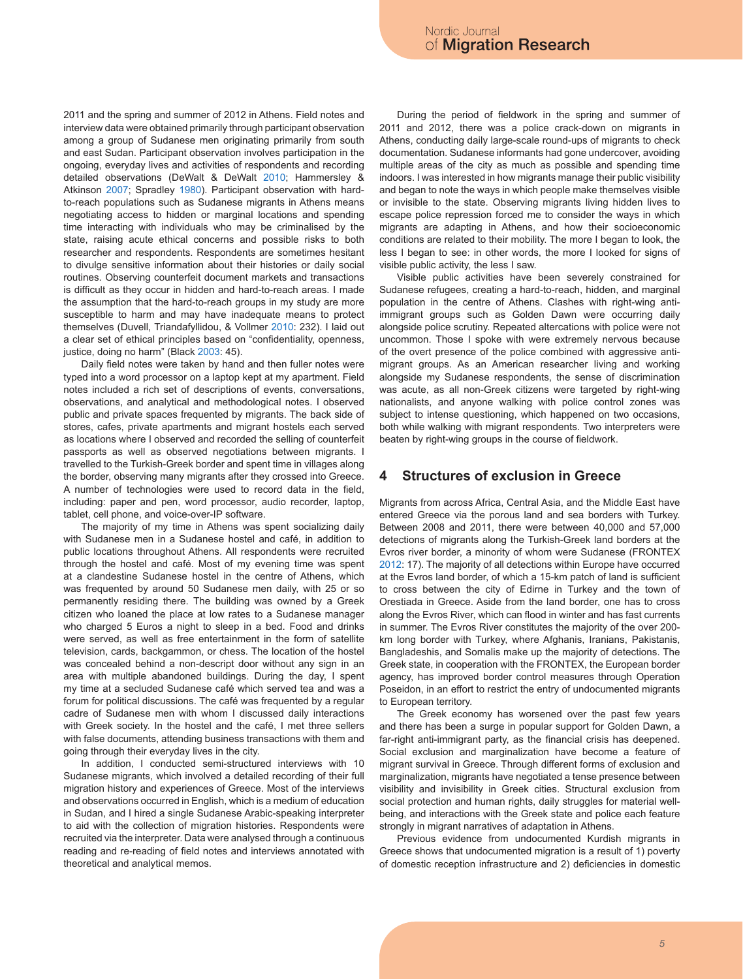2011 and the spring and summer of 2012 in Athens. Field notes and interview data were obtained primarily through participant observation among a group of Sudanese men originating primarily from south and east Sudan. Participant observation involves participation in the ongoing, everyday lives and activities of respondents and recording detailed observations (DeWalt & DeWalt 2010; Hammersley & Atkinson 2007; Spradley 1980). Participant observation with hardto-reach populations such as Sudanese migrants in Athens means negotiating access to hidden or marginal locations and spending time interacting with individuals who may be criminalised by the state, raising acute ethical concerns and possible risks to both researcher and respondents. Respondents are sometimes hesitant to divulge sensitive information about their histories or daily social routines. Observing counterfeit document markets and transactions is difficult as they occur in hidden and hard-to-reach areas. I made the assumption that the hard-to-reach groups in my study are more susceptible to harm and may have inadequate means to protect themselves (Duvell, Triandafyllidou, & Vollmer 2010: 232). I laid out a clear set of ethical principles based on "confidentiality, openness, justice, doing no harm" (Black 2003: 45).

Daily field notes were taken by hand and then fuller notes were typed into a word processor on a laptop kept at my apartment. Field notes included a rich set of descriptions of events, conversations, observations, and analytical and methodological notes. I observed public and private spaces frequented by migrants. The back side of stores, cafes, private apartments and migrant hostels each served as locations where I observed and recorded the selling of counterfeit passports as well as observed negotiations between migrants. I travelled to the Turkish-Greek border and spent time in villages along the border, observing many migrants after they crossed into Greece. A number of technologies were used to record data in the field, including: paper and pen, word processor, audio recorder, laptop, tablet, cell phone, and voice-over-IP software.

The majority of my time in Athens was spent socializing daily with Sudanese men in a Sudanese hostel and café, in addition to public locations throughout Athens. All respondents were recruited through the hostel and café. Most of my evening time was spent at a clandestine Sudanese hostel in the centre of Athens, which was frequented by around 50 Sudanese men daily, with 25 or so permanently residing there. The building was owned by a Greek citizen who loaned the place at low rates to a Sudanese manager who charged 5 Euros a night to sleep in a bed. Food and drinks were served, as well as free entertainment in the form of satellite television, cards, backgammon, or chess. The location of the hostel was concealed behind a non-descript door without any sign in an area with multiple abandoned buildings. During the day, I spent my time at a secluded Sudanese café which served tea and was a forum for political discussions. The café was frequented by a regular cadre of Sudanese men with whom I discussed daily interactions with Greek society. In the hostel and the café, I met three sellers with false documents, attending business transactions with them and going through their everyday lives in the city.

In addition, I conducted semi-structured interviews with 10 Sudanese migrants, which involved a detailed recording of their full migration history and experiences of Greece. Most of the interviews and observations occurred in English, which is a medium of education in Sudan, and I hired a single Sudanese Arabic-speaking interpreter to aid with the collection of migration histories. Respondents were recruited via the interpreter. Data were analysed through a continuous reading and re-reading of field notes and interviews annotated with theoretical and analytical memos.

During the period of fieldwork in the spring and summer of 2011 and 2012, there was a police crack-down on migrants in Athens, conducting daily large-scale round-ups of migrants to check documentation. Sudanese informants had gone undercover, avoiding multiple areas of the city as much as possible and spending time indoors. I was interested in how migrants manage their public visibility and began to note the ways in which people make themselves visible or invisible to the state. Observing migrants living hidden lives to escape police repression forced me to consider the ways in which migrants are adapting in Athens, and how their socioeconomic conditions are related to their mobility. The more I began to look, the less I began to see: in other words, the more I looked for signs of visible public activity, the less I saw.

Visible public activities have been severely constrained for Sudanese refugees, creating a hard-to-reach, hidden, and marginal population in the centre of Athens. Clashes with right-wing antiimmigrant groups such as Golden Dawn were occurring daily alongside police scrutiny. Repeated altercations with police were not uncommon. Those I spoke with were extremely nervous because of the overt presence of the police combined with aggressive antimigrant groups. As an American researcher living and working alongside my Sudanese respondents, the sense of discrimination was acute, as all non-Greek citizens were targeted by right-wing nationalists, and anyone walking with police control zones was subject to intense questioning, which happened on two occasions, both while walking with migrant respondents. Two interpreters were beaten by right-wing groups in the course of fieldwork.

### **4 Structures of exclusion in Greece**

Migrants from across Africa, Central Asia, and the Middle East have entered Greece via the porous land and sea borders with Turkey. Between 2008 and 2011, there were between 40,000 and 57,000 detections of migrants along the Turkish-Greek land borders at the Evros river border, a minority of whom were Sudanese (FRONTEX 2012: 17). The majority of all detections within Europe have occurred at the Evros land border, of which a 15-km patch of land is sufficient to cross between the city of Edirne in Turkey and the town of Orestiada in Greece. Aside from the land border, one has to cross along the Evros River, which can flood in winter and has fast currents in summer. The Evros River constitutes the majority of the over 200 km long border with Turkey, where Afghanis, Iranians, Pakistanis, Bangladeshis, and Somalis make up the majority of detections. The Greek state, in cooperation with the FRONTEX, the European border agency, has improved border control measures through Operation Poseidon, in an effort to restrict the entry of undocumented migrants to European territory.

The Greek economy has worsened over the past few years and there has been a surge in popular support for Golden Dawn, a far-right anti-immigrant party, as the financial crisis has deepened. Social exclusion and marginalization have become a feature of migrant survival in Greece. Through different forms of exclusion and marginalization, migrants have negotiated a tense presence between visibility and invisibility in Greek cities. Structural exclusion from social protection and human rights, daily struggles for material wellbeing, and interactions with the Greek state and police each feature strongly in migrant narratives of adaptation in Athens.

Previous evidence from undocumented Kurdish migrants in Greece shows that undocumented migration is a result of 1) poverty of domestic reception infrastructure and 2) deficiencies in domestic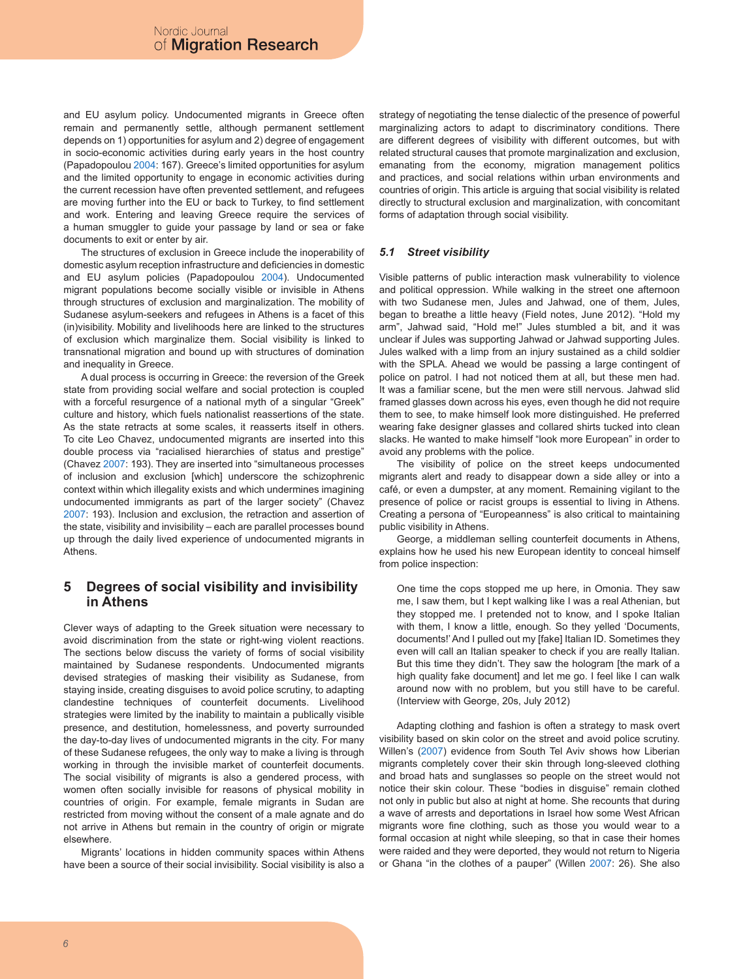and EU asylum policy. Undocumented migrants in Greece often remain and permanently settle, although permanent settlement depends on 1) opportunities for asylum and 2) degree of engagement in socio-economic activities during early years in the host country (Papadopoulou 2004: 167). Greece's limited opportunities for asylum and the limited opportunity to engage in economic activities during the current recession have often prevented settlement, and refugees are moving further into the EU or back to Turkey, to find settlement and work. Entering and leaving Greece require the services of a human smuggler to guide your passage by land or sea or fake documents to exit or enter by air.

The structures of exclusion in Greece include the inoperability of domestic asylum reception infrastructure and deficiencies in domestic and EU asylum policies (Papadopoulou 2004). Undocumented migrant populations become socially visible or invisible in Athens through structures of exclusion and marginalization. The mobility of Sudanese asylum-seekers and refugees in Athens is a facet of this (in)visibility. Mobility and livelihoods here are linked to the structures of exclusion which marginalize them. Social visibility is linked to transnational migration and bound up with structures of domination and inequality in Greece.

A dual process is occurring in Greece: the reversion of the Greek state from providing social welfare and social protection is coupled with a forceful resurgence of a national myth of a singular "Greek" culture and history, which fuels nationalist reassertions of the state. As the state retracts at some scales, it reasserts itself in others. To cite Leo Chavez, undocumented migrants are inserted into this double process via "racialised hierarchies of status and prestige" (Chavez 2007: 193). They are inserted into "simultaneous processes of inclusion and exclusion [which] underscore the schizophrenic context within which illegality exists and which undermines imagining undocumented immigrants as part of the larger society" (Chavez 2007: 193). Inclusion and exclusion, the retraction and assertion of the state, visibility and invisibility – each are parallel processes bound up through the daily lived experience of undocumented migrants in Athens.

## **5 Degrees of social visibility and invisibility in Athens**

Clever ways of adapting to the Greek situation were necessary to avoid discrimination from the state or right-wing violent reactions. The sections below discuss the variety of forms of social visibility maintained by Sudanese respondents. Undocumented migrants devised strategies of masking their visibility as Sudanese, from staying inside, creating disguises to avoid police scrutiny, to adapting clandestine techniques of counterfeit documents. Livelihood strategies were limited by the inability to maintain a publically visible presence, and destitution, homelessness, and poverty surrounded the day-to-day lives of undocumented migrants in the city. For many of these Sudanese refugees, the only way to make a living is through working in through the invisible market of counterfeit documents. The social visibility of migrants is also a gendered process, with women often socially invisible for reasons of physical mobility in countries of origin. For example, female migrants in Sudan are restricted from moving without the consent of a male agnate and do not arrive in Athens but remain in the country of origin or migrate elsewhere.

Migrants' locations in hidden community spaces within Athens have been a source of their social invisibility. Social visibility is also a strategy of negotiating the tense dialectic of the presence of powerful marginalizing actors to adapt to discriminatory conditions. There are different degrees of visibility with different outcomes, but with related structural causes that promote marginalization and exclusion, emanating from the economy, migration management politics and practices, and social relations within urban environments and countries of origin. This article is arguing that social visibility is related directly to structural exclusion and marginalization, with concomitant forms of adaptation through social visibility.

### *5.1 Street visibility*

Visible patterns of public interaction mask vulnerability to violence and political oppression. While walking in the street one afternoon with two Sudanese men, Jules and Jahwad, one of them, Jules, began to breathe a little heavy (Field notes, June 2012). "Hold my arm", Jahwad said, "Hold me!" Jules stumbled a bit, and it was unclear if Jules was supporting Jahwad or Jahwad supporting Jules. Jules walked with a limp from an injury sustained as a child soldier with the SPLA. Ahead we would be passing a large contingent of police on patrol. I had not noticed them at all, but these men had. It was a familiar scene, but the men were still nervous. Jahwad slid framed glasses down across his eyes, even though he did not require them to see, to make himself look more distinguished. He preferred wearing fake designer glasses and collared shirts tucked into clean slacks. He wanted to make himself "look more European" in order to avoid any problems with the police.

The visibility of police on the street keeps undocumented migrants alert and ready to disappear down a side alley or into a café, or even a dumpster, at any moment. Remaining vigilant to the presence of police or racist groups is essential to living in Athens. Creating a persona of "Europeanness" is also critical to maintaining public visibility in Athens.

George, a middleman selling counterfeit documents in Athens, explains how he used his new European identity to conceal himself from police inspection:

One time the cops stopped me up here, in Omonia. They saw me, I saw them, but I kept walking like I was a real Athenian, but they stopped me. I pretended not to know, and I spoke Italian with them, I know a little, enough. So they yelled 'Documents, documents!' And I pulled out my [fake] Italian ID. Sometimes they even will call an Italian speaker to check if you are really Italian. But this time they didn't. They saw the hologram [the mark of a high quality fake document] and let me go. I feel like I can walk around now with no problem, but you still have to be careful. (Interview with George, 20s, July 2012)

Adapting clothing and fashion is often a strategy to mask overt visibility based on skin color on the street and avoid police scrutiny. Willen's (2007) evidence from South Tel Aviv shows how Liberian migrants completely cover their skin through long-sleeved clothing and broad hats and sunglasses so people on the street would not notice their skin colour. These "bodies in disguise" remain clothed not only in public but also at night at home. She recounts that during a wave of arrests and deportations in Israel how some West African migrants wore fine clothing, such as those you would wear to a formal occasion at night while sleeping, so that in case their homes were raided and they were deported, they would not return to Nigeria or Ghana "in the clothes of a pauper" (Willen 2007: 26). She also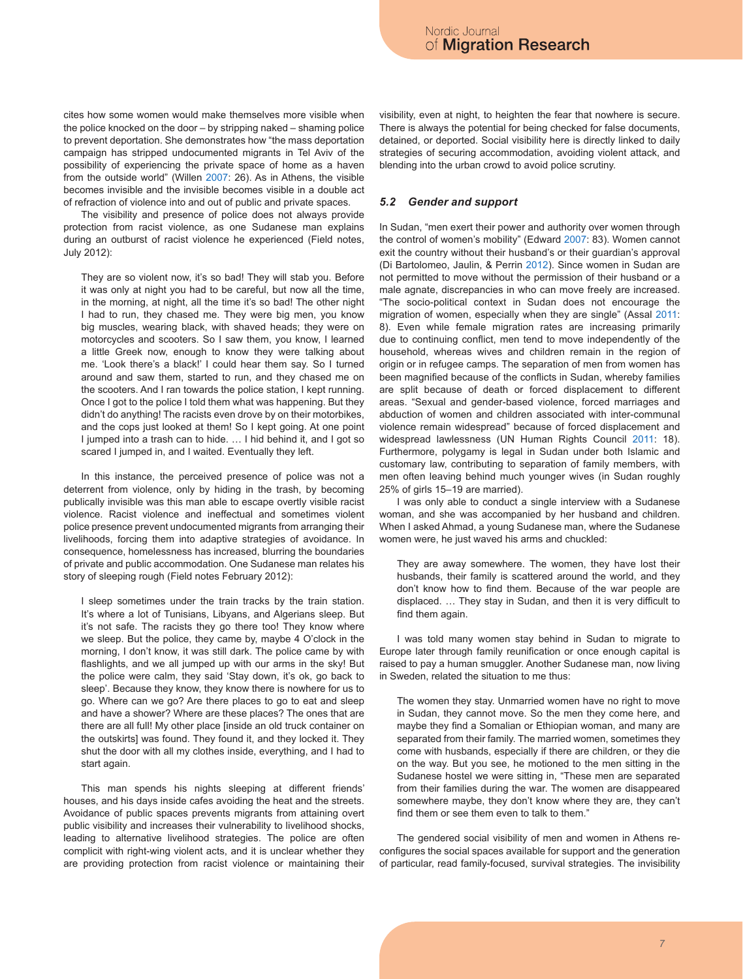cites how some women would make themselves more visible when the police knocked on the door – by stripping naked – shaming police to prevent deportation. She demonstrates how "the mass deportation campaign has stripped undocumented migrants in Tel Aviv of the possibility of experiencing the private space of home as a haven from the outside world" (Willen 2007: 26). As in Athens, the visible becomes invisible and the invisible becomes visible in a double act of refraction of violence into and out of public and private spaces.

The visibility and presence of police does not always provide protection from racist violence, as one Sudanese man explains during an outburst of racist violence he experienced (Field notes, July 2012):

They are so violent now, it's so bad! They will stab you. Before it was only at night you had to be careful, but now all the time, in the morning, at night, all the time it's so bad! The other night I had to run, they chased me. They were big men, you know big muscles, wearing black, with shaved heads; they were on motorcycles and scooters. So I saw them, you know, I learned a little Greek now, enough to know they were talking about me. 'Look there's a black!' I could hear them say. So I turned around and saw them, started to run, and they chased me on the scooters. And I ran towards the police station, I kept running. Once I got to the police I told them what was happening. But they didn't do anything! The racists even drove by on their motorbikes, and the cops just looked at them! So I kept going. At one point I jumped into a trash can to hide. … I hid behind it, and I got so scared I jumped in, and I waited. Eventually they left.

In this instance, the perceived presence of police was not a deterrent from violence, only by hiding in the trash, by becoming publically invisible was this man able to escape overtly visible racist violence. Racist violence and ineffectual and sometimes violent police presence prevent undocumented migrants from arranging their livelihoods, forcing them into adaptive strategies of avoidance. In consequence, homelessness has increased, blurring the boundaries of private and public accommodation. One Sudanese man relates his story of sleeping rough (Field notes February 2012):

I sleep sometimes under the train tracks by the train station. It's where a lot of Tunisians, Libyans, and Algerians sleep. But it's not safe. The racists they go there too! They know where we sleep. But the police, they came by, maybe 4 O'clock in the morning, I don't know, it was still dark. The police came by with flashlights, and we all jumped up with our arms in the sky! But the police were calm, they said 'Stay down, it's ok, go back to sleep'. Because they know, they know there is nowhere for us to go. Where can we go? Are there places to go to eat and sleep and have a shower? Where are these places? The ones that are there are all full! My other place [inside an old truck container on the outskirts] was found. They found it, and they locked it. They shut the door with all my clothes inside, everything, and I had to start again.

This man spends his nights sleeping at different friends' houses, and his days inside cafes avoiding the heat and the streets. Avoidance of public spaces prevents migrants from attaining overt public visibility and increases their vulnerability to livelihood shocks, leading to alternative livelihood strategies. The police are often complicit with right-wing violent acts, and it is unclear whether they are providing protection from racist violence or maintaining their visibility, even at night, to heighten the fear that nowhere is secure. There is always the potential for being checked for false documents, detained, or deported. Social visibility here is directly linked to daily strategies of securing accommodation, avoiding violent attack, and blending into the urban crowd to avoid police scrutiny.

#### *5.2 Gender and support*

In Sudan, "men exert their power and authority over women through the control of women's mobility" (Edward 2007: 83). Women cannot exit the country without their husband's or their guardian's approval (Di Bartolomeo, Jaulin, & Perrin 2012). Since women in Sudan are not permitted to move without the permission of their husband or a male agnate, discrepancies in who can move freely are increased. "The socio-political context in Sudan does not encourage the migration of women, especially when they are single" (Assal 2011: 8). Even while female migration rates are increasing primarily due to continuing conflict, men tend to move independently of the household, whereas wives and children remain in the region of origin or in refugee camps. The separation of men from women has been magnified because of the conflicts in Sudan, whereby families are split because of death or forced displacement to different areas. "Sexual and gender-based violence, forced marriages and abduction of women and children associated with inter-communal violence remain widespread" because of forced displacement and widespread lawlessness (UN Human Rights Council 2011: 18). Furthermore, polygamy is legal in Sudan under both Islamic and customary law, contributing to separation of family members, with men often leaving behind much younger wives (in Sudan roughly 25% of girls 15–19 are married).

I was only able to conduct a single interview with a Sudanese woman, and she was accompanied by her husband and children. When I asked Ahmad, a young Sudanese man, where the Sudanese women were, he just waved his arms and chuckled:

They are away somewhere. The women, they have lost their husbands, their family is scattered around the world, and they don't know how to find them. Because of the war people are displaced. … They stay in Sudan, and then it is very difficult to find them again.

I was told many women stay behind in Sudan to migrate to Europe later through family reunification or once enough capital is raised to pay a human smuggler. Another Sudanese man, now living in Sweden, related the situation to me thus:

The women they stay. Unmarried women have no right to move in Sudan, they cannot move. So the men they come here, and maybe they find a Somalian or Ethiopian woman, and many are separated from their family. The married women, sometimes they come with husbands, especially if there are children, or they die on the way. But you see, he motioned to the men sitting in the Sudanese hostel we were sitting in, "These men are separated from their families during the war. The women are disappeared somewhere maybe, they don't know where they are, they can't find them or see them even to talk to them."

The gendered social visibility of men and women in Athens reconfigures the social spaces available for support and the generation of particular, read family-focused, survival strategies. The invisibility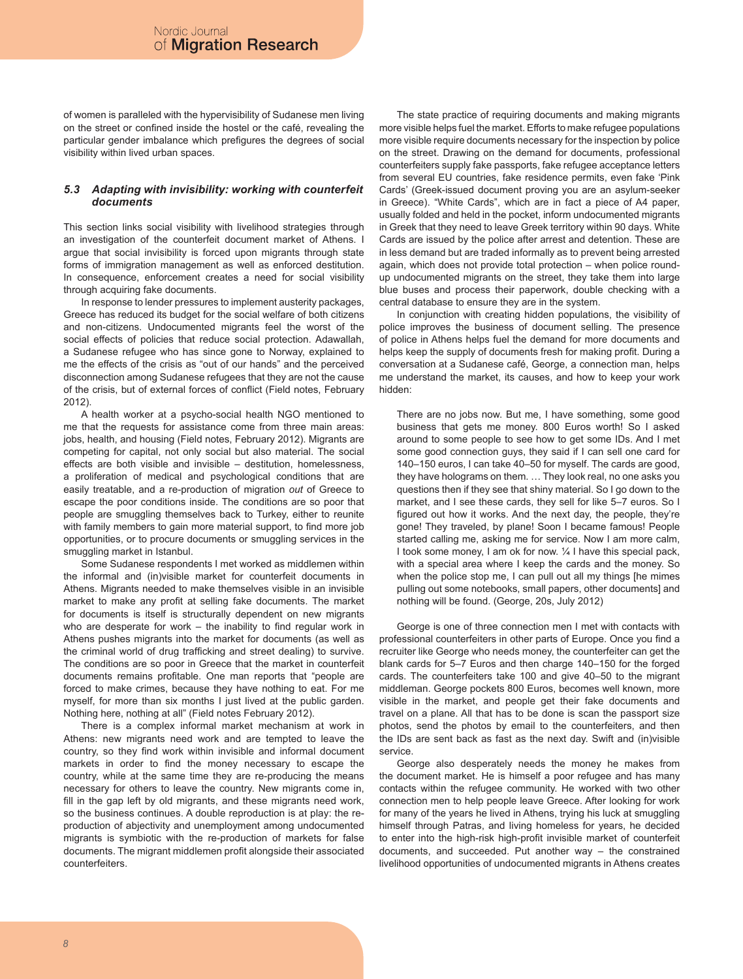of women is paralleled with the hypervisibility of Sudanese men living on the street or confined inside the hostel or the café, revealing the particular gender imbalance which prefigures the degrees of social visibility within lived urban spaces.

#### *5.3 Adapting with invisibility: working with counterfeit documents*

This section links social visibility with livelihood strategies through an investigation of the counterfeit document market of Athens. I argue that social invisibility is forced upon migrants through state forms of immigration management as well as enforced destitution. In consequence, enforcement creates a need for social visibility through acquiring fake documents.

In response to lender pressures to implement austerity packages, Greece has reduced its budget for the social welfare of both citizens and non-citizens. Undocumented migrants feel the worst of the social effects of policies that reduce social protection. Adawallah, a Sudanese refugee who has since gone to Norway, explained to me the effects of the crisis as "out of our hands" and the perceived disconnection among Sudanese refugees that they are not the cause of the crisis, but of external forces of conflict (Field notes, February 2012).

A health worker at a psycho-social health NGO mentioned to me that the requests for assistance come from three main areas: jobs, health, and housing (Field notes, February 2012). Migrants are competing for capital, not only social but also material. The social effects are both visible and invisible – destitution, homelessness, a proliferation of medical and psychological conditions that are easily treatable, and a re-production of migration *out* of Greece to escape the poor conditions inside. The conditions are so poor that people are smuggling themselves back to Turkey, either to reunite with family members to gain more material support, to find more job opportunities, or to procure documents or smuggling services in the smuggling market in Istanbul.

Some Sudanese respondents I met worked as middlemen within the informal and (in)visible market for counterfeit documents in Athens. Migrants needed to make themselves visible in an invisible market to make any profit at selling fake documents. The market for documents is itself is structurally dependent on new migrants who are desperate for work – the inability to find regular work in Athens pushes migrants into the market for documents (as well as the criminal world of drug trafficking and street dealing) to survive. The conditions are so poor in Greece that the market in counterfeit documents remains profitable. One man reports that "people are forced to make crimes, because they have nothing to eat. For me myself, for more than six months I just lived at the public garden. Nothing here, nothing at all" (Field notes February 2012).

There is a complex informal market mechanism at work in Athens: new migrants need work and are tempted to leave the country, so they find work within invisible and informal document markets in order to find the money necessary to escape the country, while at the same time they are re-producing the means necessary for others to leave the country. New migrants come in, fill in the gap left by old migrants, and these migrants need work, so the business continues. A double reproduction is at play: the reproduction of abjectivity and unemployment among undocumented migrants is symbiotic with the re-production of markets for false documents. The migrant middlemen profit alongside their associated counterfeiters.

The state practice of requiring documents and making migrants more visible helps fuel the market. Efforts to make refugee populations more visible require documents necessary for the inspection by police on the street. Drawing on the demand for documents, professional counterfeiters supply fake passports, fake refugee acceptance letters from several EU countries, fake residence permits, even fake 'Pink Cards' (Greek-issued document proving you are an asylum-seeker in Greece). "White Cards", which are in fact a piece of A4 paper, usually folded and held in the pocket, inform undocumented migrants in Greek that they need to leave Greek territory within 90 days. White Cards are issued by the police after arrest and detention. These are in less demand but are traded informally as to prevent being arrested again, which does not provide total protection – when police roundup undocumented migrants on the street, they take them into large blue buses and process their paperwork, double checking with a central database to ensure they are in the system.

In conjunction with creating hidden populations, the visibility of police improves the business of document selling. The presence of police in Athens helps fuel the demand for more documents and helps keep the supply of documents fresh for making profit. During a conversation at a Sudanese café, George, a connection man, helps me understand the market, its causes, and how to keep your work hidden:

There are no jobs now. But me, I have something, some good business that gets me money. 800 Euros worth! So I asked around to some people to see how to get some IDs. And I met some good connection guys, they said if I can sell one card for 140–150 euros, I can take 40–50 for myself. The cards are good, they have holograms on them. … They look real, no one asks you questions then if they see that shiny material. So I go down to the market, and I see these cards, they sell for like 5–7 euros. So I figured out how it works. And the next day, the people, they're gone! They traveled, by plane! Soon I became famous! People started calling me, asking me for service. Now I am more calm, I took some money, I am ok for now. ¼ I have this special pack, with a special area where I keep the cards and the money. So when the police stop me, I can pull out all my things [he mimes pulling out some notebooks, small papers, other documents] and nothing will be found. (George, 20s, July 2012)

George is one of three connection men I met with contacts with professional counterfeiters in other parts of Europe. Once you find a recruiter like George who needs money, the counterfeiter can get the blank cards for 5–7 Euros and then charge 140–150 for the forged cards. The counterfeiters take 100 and give 40–50 to the migrant middleman. George pockets 800 Euros, becomes well known, more visible in the market, and people get their fake documents and travel on a plane. All that has to be done is scan the passport size photos, send the photos by email to the counterfeiters, and then the IDs are sent back as fast as the next day. Swift and (in)visible service.

George also desperately needs the money he makes from the document market. He is himself a poor refugee and has many contacts within the refugee community. He worked with two other connection men to help people leave Greece. After looking for work for many of the years he lived in Athens, trying his luck at smuggling himself through Patras, and living homeless for years, he decided to enter into the high-risk high-profit invisible market of counterfeit documents, and succeeded. Put another way – the constrained livelihood opportunities of undocumented migrants in Athens creates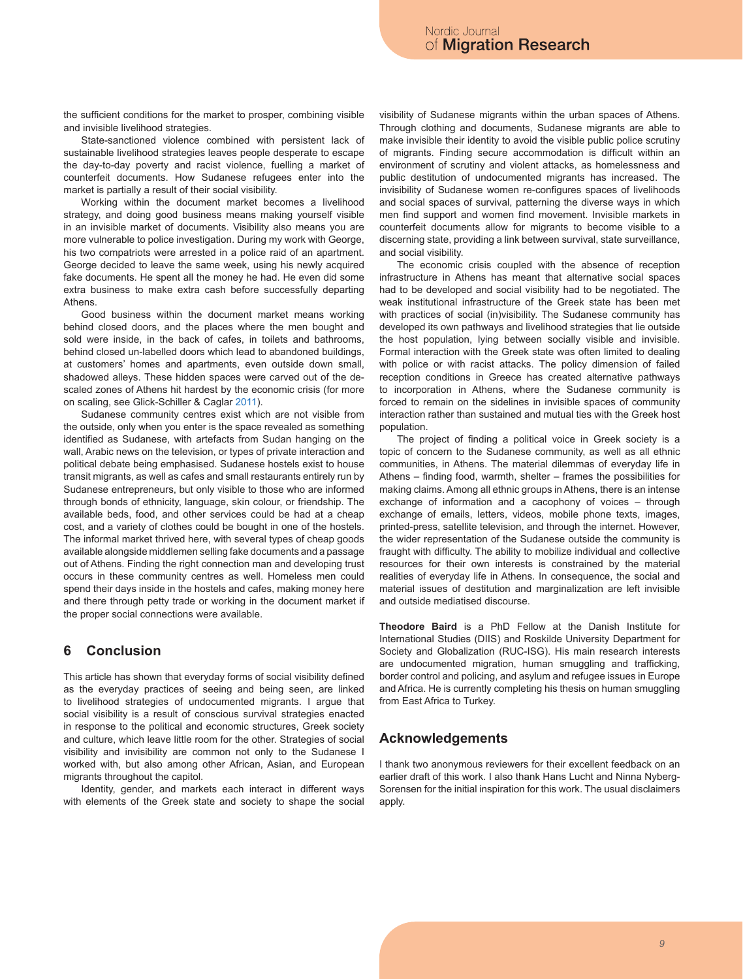the sufficient conditions for the market to prosper, combining visible and invisible livelihood strategies.

State-sanctioned violence combined with persistent lack of sustainable livelihood strategies leaves people desperate to escape the day-to-day poverty and racist violence, fuelling a market of counterfeit documents. How Sudanese refugees enter into the market is partially a result of their social visibility.

Working within the document market becomes a livelihood strategy, and doing good business means making yourself visible in an invisible market of documents. Visibility also means you are more vulnerable to police investigation. During my work with George, his two compatriots were arrested in a police raid of an apartment. George decided to leave the same week, using his newly acquired fake documents. He spent all the money he had. He even did some extra business to make extra cash before successfully departing Athens.

Good business within the document market means working behind closed doors, and the places where the men bought and sold were inside, in the back of cafes, in toilets and bathrooms, behind closed un-labelled doors which lead to abandoned buildings, at customers' homes and apartments, even outside down small, shadowed alleys. These hidden spaces were carved out of the descaled zones of Athens hit hardest by the economic crisis (for more on scaling, see Glick-Schiller & Caglar 2011).

Sudanese community centres exist which are not visible from the outside, only when you enter is the space revealed as something identified as Sudanese, with artefacts from Sudan hanging on the wall, Arabic news on the television, or types of private interaction and political debate being emphasised. Sudanese hostels exist to house transit migrants, as well as cafes and small restaurants entirely run by Sudanese entrepreneurs, but only visible to those who are informed through bonds of ethnicity, language, skin colour, or friendship. The available beds, food, and other services could be had at a cheap cost, and a variety of clothes could be bought in one of the hostels. The informal market thrived here, with several types of cheap goods available alongside middlemen selling fake documents and a passage out of Athens. Finding the right connection man and developing trust occurs in these community centres as well. Homeless men could spend their days inside in the hostels and cafes, making money here and there through petty trade or working in the document market if the proper social connections were available.

# **6 Conclusion**

This article has shown that everyday forms of social visibility defined as the everyday practices of seeing and being seen, are linked to livelihood strategies of undocumented migrants. I argue that social visibility is a result of conscious survival strategies enacted in response to the political and economic structures, Greek society and culture, which leave little room for the other. Strategies of social visibility and invisibility are common not only to the Sudanese I worked with, but also among other African, Asian, and European migrants throughout the capitol.

Identity, gender, and markets each interact in different ways with elements of the Greek state and society to shape the social visibility of Sudanese migrants within the urban spaces of Athens. Through clothing and documents, Sudanese migrants are able to make invisible their identity to avoid the visible public police scrutiny of migrants. Finding secure accommodation is difficult within an environment of scrutiny and violent attacks, as homelessness and public destitution of undocumented migrants has increased. The invisibility of Sudanese women re-configures spaces of livelihoods and social spaces of survival, patterning the diverse ways in which men find support and women find movement. Invisible markets in counterfeit documents allow for migrants to become visible to a discerning state, providing a link between survival, state surveillance, and social visibility.

The economic crisis coupled with the absence of reception infrastructure in Athens has meant that alternative social spaces had to be developed and social visibility had to be negotiated. The weak institutional infrastructure of the Greek state has been met with practices of social (in)visibility. The Sudanese community has developed its own pathways and livelihood strategies that lie outside the host population, lying between socially visible and invisible. Formal interaction with the Greek state was often limited to dealing with police or with racist attacks. The policy dimension of failed reception conditions in Greece has created alternative pathways to incorporation in Athens, where the Sudanese community is forced to remain on the sidelines in invisible spaces of community interaction rather than sustained and mutual ties with the Greek host population.

The project of finding a political voice in Greek society is a topic of concern to the Sudanese community, as well as all ethnic communities, in Athens. The material dilemmas of everyday life in Athens – finding food, warmth, shelter – frames the possibilities for making claims. Among all ethnic groups in Athens, there is an intense exchange of information and a cacophony of voices – through exchange of emails, letters, videos, mobile phone texts, images, printed-press, satellite television, and through the internet. However, the wider representation of the Sudanese outside the community is fraught with difficulty. The ability to mobilize individual and collective resources for their own interests is constrained by the material realities of everyday life in Athens. In consequence, the social and material issues of destitution and marginalization are left invisible and outside mediatised discourse.

**Theodore Baird** is a PhD Fellow at the Danish Institute for International Studies (DIIS) and Roskilde University Department for Society and Globalization (RUC-ISG). His main research interests are undocumented migration, human smuggling and trafficking, border control and policing, and asylum and refugee issues in Europe and Africa. He is currently completing his thesis on human smuggling from East Africa to Turkey.

# **Acknowledgements**

I thank two anonymous reviewers for their excellent feedback on an earlier draft of this work. I also thank Hans Lucht and Ninna Nyberg-Sorensen for the initial inspiration for this work. The usual disclaimers apply.